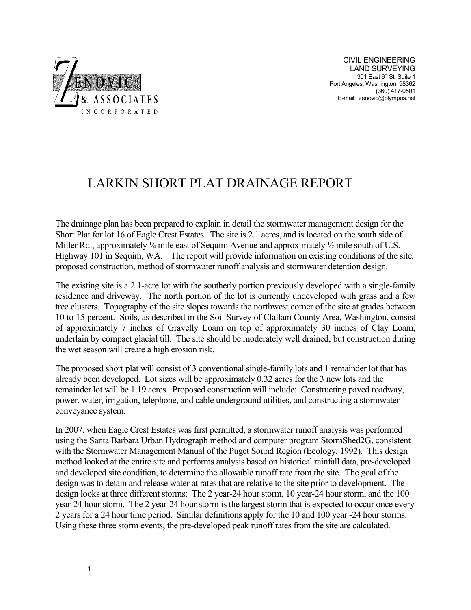

CIVIL ENGINEERING LAND SURVEYING 301 East 6th St. Suite 1 Port Angeles, Washington 98362 (360) 417-0501 E-mail: zenovic@olympus.net

# LARKIN SHORT PLAT DRAINAGE REPORT

The drainage plan has been prepared to explain in detail the stormwater management design for the Short Plat for lot 16 of Eagle Crest Estates. The site is 2.1 acres, and is located on the south side of Miller Rd., approximately  $\frac{1}{4}$  mile east of Sequim Avenue and approximately  $\frac{1}{2}$  mile south of U.S. Highway 101 in Sequim, WA. The report will provide information on existing conditions of the site, proposed construction, method of stormwater runoff analysis and stormwater detention design.

The existing site is a 2.1-acre lot with the southerly portion previously developed with a single-family residence and driveway. The north portion of the lot is currently undeveloped with grass and a few tree clusters. Topography of the site slopes towards the northwest corner of the site at grades between 10 to 15 percent. Soils, as described in the Soil Survey of Clallam County Area, Washington, consist of approximately 7 inches of Gravelly Loam on top of approximately 30 inches of Clay Loam, underlain by compact glacial till. The site should be moderately well drained, but construction during the wet season will create a high erosion risk.

The proposed short plat will consist of 3 conventional single-family lots and 1 remainder lot that has already been developed. Lot sizes will be approximately 0.32 acres for the 3 new lots and the remainder lot will be 1.19 acres. Proposed construction will include: Constructing paved roadway, power, water, irrigation, telephone, and cable underground utilities, and constructing a stormwater conveyance system.

In 2007, when Eagle Crest Estates was first permitted, a stormwater runoff analysis was performed using the Santa Barbara Urban Hydrograph method and computer program StormShed2G, consistent with the Stormwater Management Manual of the Puget Sound Region (Ecology, 1992). This design method looked at the entire site and performs analysis based on historical rainfall data, pre-developed and developed site condition, to determine the allowable runoff rate from the site. The goal of the design was to detain and release water at rates that are relative to the site prior to development. The design looks at three different storms: The 2 year-24 hour storm, 10 year-24 hour storm, and the 100 year-24 hour storm. The 2 year-24 hour storm is the largest storm that is expected to occur once every 2 years for a 24 hour time period. Similar definitions apply for the 10 and 100 year -24 hour storms. Using these three storm events, the pre-developed peak runoff rates from the site are calculated.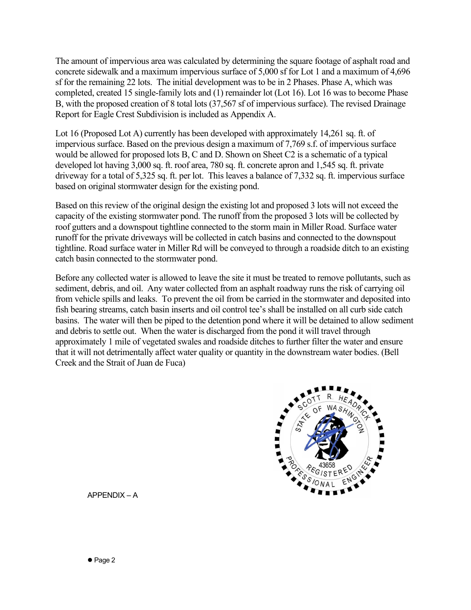The amount of impervious area was calculated by determining the square footage of asphalt road and concrete sidewalk and a maximum impervious surface of 5,000 sf for Lot 1 and a maximum of 4,696 sf for the remaining 22 lots. The initial development was to be in 2 Phases. Phase A, which was completed, created 15 single-family lots and (1) remainder lot (Lot 16). Lot 16 was to become Phase B, with the proposed creation of 8 total lots (37,567 sf of impervious surface). The revised Drainage Report for Eagle Crest Subdivision is included as Appendix A.

Lot 16 (Proposed Lot A) currently has been developed with approximately 14,261 sq. ft. of impervious surface. Based on the previous design a maximum of 7,769 s.f. of impervious surface would be allowed for proposed lots B, C and D. Shown on Sheet C2 is a schematic of a typical developed lot having 3,000 sq. ft. roof area, 780 sq. ft. concrete apron and 1,545 sq. ft. private driveway for a total of 5,325 sq. ft. per lot. This leaves a balance of 7,332 sq. ft. impervious surface based on original stormwater design for the existing pond.

Based on this review of the original design the existing lot and proposed 3 lots will not exceed the capacity of the existing stormwater pond. The runoff from the proposed 3 lots will be collected by roof gutters and a downspout tightline connected to the storm main in Miller Road. Surface water runoff for the private driveways will be collected in catch basins and connected to the downspout tightline. Road surface water in Miller Rd will be conveyed to through a roadside ditch to an existing catch basin connected to the stormwater pond.

Before any collected water is allowed to leave the site it must be treated to remove pollutants, such as sediment, debris, and oil. Any water collected from an asphalt roadway runs the risk of carrying oil from vehicle spills and leaks. To prevent the oil from be carried in the stormwater and deposited into fish bearing streams, catch basin inserts and oil control tee's shall be installed on all curb side catch basins. The water will then be piped to the detention pond where it will be detained to allow sediment and debris to settle out. When the water is discharged from the pond it will travel through approximately 1 mile of vegetated swales and roadside ditches to further filter the water and ensure that it will not detrimentally affect water quality or quantity in the downstream water bodies. (Bell Creek and the Strait of Juan de Fuca)



APPENDIX – A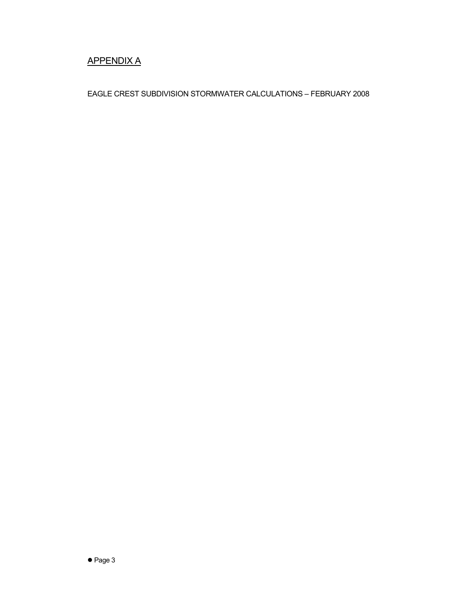## APPENDIX A

EAGLE CREST SUBDIVISION STORMWATER CALCULATIONS – FEBRUARY 2008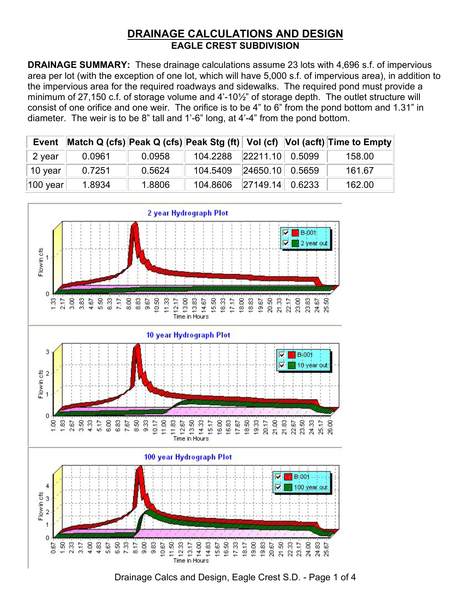## **DRAINAGE CALCULATIONS AND DESIGN EAGLE CREST SUBDIVISION**

**DRAINAGE SUMMARY:** These drainage calculations assume 23 lots with 4,696 s.f. of impervious area per lot (with the exception of one lot, which will have 5,000 s.f. of impervious area), in addition to the impervious area for the required roadways and sidewalks. The required pond must provide a minimum of 27,150 c.f. of storage volume and 4'-10½" of storage depth. The outlet structure will consist of one orifice and one weir. The orifice is to be 4" to 6" from the pond bottom and 1.31" in diameter. The weir is to be 8" tall and 1'-6" long, at 4'-4" from the pond bottom.

| <b>Event</b> |        |        |                          |                       | Match Q (cfs)  Peak Q (cfs)  Peak Stg (ft)   Vol (cf)   Vol (acft)  Time to Empty |
|--------------|--------|--------|--------------------------|-----------------------|-----------------------------------------------------------------------------------|
| 2 year       | 0.0961 | 0.0958 | 104.2288 22211.10 0.5099 |                       | 158.00                                                                            |
| 10 year      | 0.7251 | 0.5624 | 104.5409                 | 24650.10  0.5659      | 161.67                                                                            |
| 100 year     | 1.8934 | 1.8806 | 104.8606                 | $\ 27149.14\ $ 0.6233 | 162.00                                                                            |



Drainage Calcs and Design, Eagle Crest S.D. - Page 1 of 4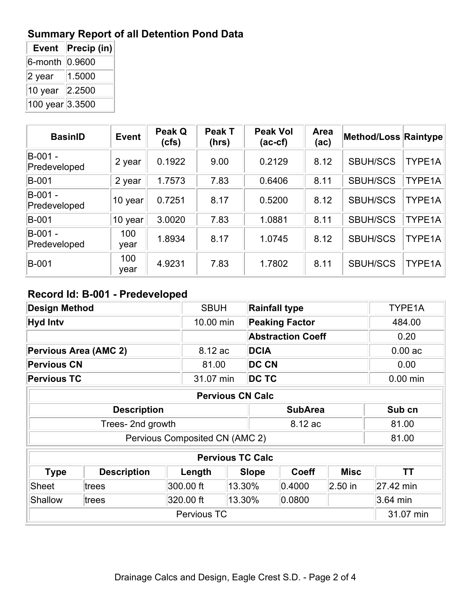# **Summary Report of all Detention Pond Data**

| <b>Event</b>    | Precip (in) |
|-----------------|-------------|
| $6$ -month      | 0.9600      |
| $2$ year        | 1.5000      |
| 10 year         | 2.2500      |
| 100 year 3.3500 |             |

| <b>BasinID</b>          | <b>Event</b> | Peak Q<br>(cfs) | Peak T<br>(hrs) | <b>Peak Vol</b><br>$(ac-cf)$ | Area<br>(ac) | Method/Loss Raintype |        |
|-------------------------|--------------|-----------------|-----------------|------------------------------|--------------|----------------------|--------|
| B-001 -<br>Predeveloped | 2 year       | 0.1922          | 9.00            | 0.2129                       | 8.12         | <b>SBUH/SCS</b>      | TYPE1A |
| <b>B-001</b>            | 2 year       | 1.7573          | 7.83            | 0.6406                       | 8.11         | <b>SBUH/SCS</b>      | TYPE1A |
| B-001 -<br>Predeveloped | 10 year      | 0.7251          | 8.17            | 0.5200                       | 8.12         | <b>SBUH/SCS</b>      | TYPE1A |
| <b>B-001</b>            | 10 year      | 3.0020          | 7.83            | 1.0881                       | 8.11         | <b>SBUH/SCS</b>      | TYPE1A |
| B-001 -<br>Predeveloped | 100<br>year  | 1.8934          | 8.17            | 1.0745                       | 8.12         | <b>SBUH/SCS</b>      | TYPE1A |
| <b>B-001</b>            | 100<br>year  | 4.9231          | 7.83            | 1.7802                       | 8.11         | <b>SBUH/SCS</b>      | TYPE1A |

## **Record Id: B-001 - Predeveloped**

| <b>Design Method</b>    |                    | <b>SBUH</b> |                                | <b>Rainfall type</b>  |                          |             | TYPE1A     |
|-------------------------|--------------------|-------------|--------------------------------|-----------------------|--------------------------|-------------|------------|
| <b>Hyd Intv</b>         |                    | 10.00 min   |                                | <b>Peaking Factor</b> |                          | 484.00      |            |
|                         |                    |             |                                |                       | <b>Abstraction Coeff</b> |             | 0.20       |
| Pervious Area (AMC 2)   |                    | 8.12 ac     |                                | <b>DCIA</b>           |                          |             | $0.00$ ac  |
| <b>Pervious CN</b>      |                    | 81.00       |                                | <b>DC CN</b>          |                          |             | 0.00       |
| <b>Pervious TC</b>      |                    | 31.07 min   |                                | DC TC                 |                          |             | $0.00$ min |
| <b>Pervious CN Calc</b> |                    |             |                                |                       |                          |             |            |
|                         | <b>Description</b> |             | <b>SubArea</b>                 |                       |                          | Sub cn      |            |
|                         | Trees-2nd growth   |             |                                | 8.12 ac               |                          |             | 81.00      |
|                         |                    |             | Pervious Composited CN (AMC 2) |                       |                          |             | 81.00      |
|                         |                    |             | <b>Pervious TC Calc</b>        |                       |                          |             |            |
| <b>Type</b>             | <b>Description</b> | Length      |                                | <b>Slope</b>          | <b>Coeff</b>             | <b>Misc</b> | <b>TT</b>  |
| <b>Sheet</b>            | trees              | 300.00 ft   | 13.30%                         |                       | 0.4000                   | $2.50$ in   | 27.42 min  |
| <b>Shallow</b>          | trees              | 320.00 ft   | 13.30%                         |                       | 0.0800                   |             | $3.64$ min |
| Pervious TC             |                    |             |                                |                       |                          |             | 31.07 min  |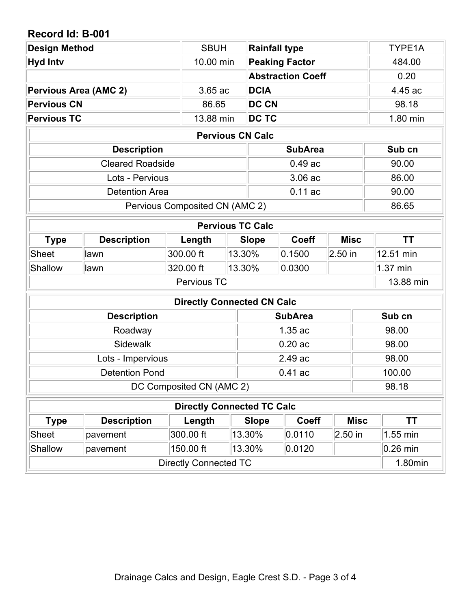## **Record Id: B-001**

| <b>Design Method</b>                                   |                                      | <b>SBUH</b>                       |                                             | <b>Rainfall type</b>     |                |             |            | TYPE1A    |  |
|--------------------------------------------------------|--------------------------------------|-----------------------------------|---------------------------------------------|--------------------------|----------------|-------------|------------|-----------|--|
| <b>Hyd Intv</b>                                        | 10.00 min                            |                                   |                                             | <b>Peaking Factor</b>    |                |             | 484.00     |           |  |
|                                                        |                                      |                                   |                                             | <b>Abstraction Coeff</b> |                |             |            | 0.20      |  |
| <b>DCIA</b><br><b>Pervious Area (AMC 2)</b><br>3.65 ac |                                      |                                   |                                             | 4.45 ac                  |                |             |            |           |  |
| <b>DC CN</b><br><b>Pervious CN</b><br>86.65            |                                      |                                   |                                             | 98.18                    |                |             |            |           |  |
| <b>Pervious TC</b><br>13.88 min<br><b>DC TC</b>        |                                      |                                   |                                             | 1.80 min                 |                |             |            |           |  |
|                                                        |                                      | <b>Pervious CN Calc</b>           |                                             |                          |                |             |            |           |  |
|                                                        | <b>Description</b><br><b>SubArea</b> |                                   |                                             |                          |                |             | Sub cn     |           |  |
|                                                        | <b>Cleared Roadside</b>              |                                   |                                             |                          | $0.49$ ac      |             |            | 90.00     |  |
|                                                        | Lots - Pervious                      |                                   |                                             |                          | 3.06 ac        |             |            | 86.00     |  |
|                                                        | <b>Detention Area</b>                |                                   |                                             |                          | $0.11$ ac      |             |            | 90.00     |  |
|                                                        |                                      | Pervious Composited CN (AMC 2)    |                                             |                          |                |             |            | 86.65     |  |
|                                                        |                                      | <b>Pervious TC Calc</b>           |                                             |                          |                |             |            |           |  |
| <b>Type</b>                                            | <b>Description</b>                   | Length                            | <b>Misc</b><br><b>Coeff</b><br><b>Slope</b> |                          |                | <b>TT</b>   |            |           |  |
| <b>Sheet</b>                                           | lawn                                 | 300.00 ft                         | 13.30%                                      |                          | 0.1500         | $2.50$ in   |            | 12.51 min |  |
| <b>Shallow</b>                                         | lawn                                 | 320.00 ft                         | 13.30%                                      |                          | 0.0300         |             |            | 1.37 min  |  |
|                                                        |                                      | Pervious TC                       |                                             |                          |                |             |            | 13.88 min |  |
|                                                        |                                      | <b>Directly Connected CN Calc</b> |                                             |                          |                |             |            |           |  |
|                                                        | <b>Description</b>                   |                                   |                                             |                          | <b>SubArea</b> |             |            | Sub cn    |  |
|                                                        | Roadway                              |                                   |                                             |                          | 1.35 ac        |             |            | 98.00     |  |
|                                                        | <b>Sidewalk</b>                      |                                   |                                             |                          | 0.20ac         |             |            | 98.00     |  |
|                                                        | Lots - Impervious                    |                                   |                                             |                          | 2.49 ac        |             |            | 98.00     |  |
|                                                        | <b>Detention Pond</b>                |                                   |                                             | $0.41$ ac                |                |             |            | 100.00    |  |
| DC Composited CN (AMC 2)                               |                                      |                                   |                                             |                          |                |             |            | 98.18     |  |
|                                                        |                                      | <b>Directly Connected TC Calc</b> |                                             |                          |                |             |            |           |  |
| <b>Description</b><br>Length<br><b>Type</b>            |                                      |                                   | <b>Slope</b>                                | <b>Coeff</b>             |                | <b>Misc</b> | <b>TT</b>  |           |  |
| <b>Sheet</b>                                           | pavement                             | 300.00 ft                         |                                             | 13.30%                   | 0.0110         | $2.50$ in   |            | 1.55 min  |  |
| Shallow<br>150.00 ft<br>13.30%<br>pavement             |                                      |                                   |                                             | 0.0120                   |                |             | $0.26$ min |           |  |
|                                                        |                                      | <b>Directly Connected TC</b>      |                                             |                          |                |             |            | 1.80min   |  |
|                                                        |                                      |                                   |                                             |                          |                |             |            |           |  |